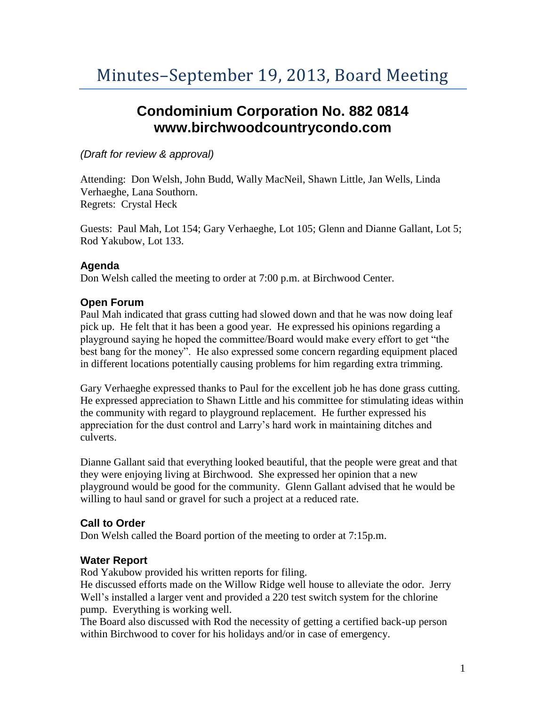# **Condominium Corporation No. 882 0814 www.birchwoodcountrycondo.com**

# *(Draft for review & approval)*

Attending: Don Welsh, John Budd, Wally MacNeil, Shawn Little, Jan Wells, Linda Verhaeghe, Lana Southorn. Regrets: Crystal Heck

Guests: Paul Mah, Lot 154; Gary Verhaeghe, Lot 105; Glenn and Dianne Gallant, Lot 5; Rod Yakubow, Lot 133.

#### **Agenda**

Don Welsh called the meeting to order at 7:00 p.m. at Birchwood Center.

# **Open Forum**

Paul Mah indicated that grass cutting had slowed down and that he was now doing leaf pick up. He felt that it has been a good year. He expressed his opinions regarding a playground saying he hoped the committee/Board would make every effort to get "the best bang for the money". He also expressed some concern regarding equipment placed in different locations potentially causing problems for him regarding extra trimming.

Gary Verhaeghe expressed thanks to Paul for the excellent job he has done grass cutting. He expressed appreciation to Shawn Little and his committee for stimulating ideas within the community with regard to playground replacement. He further expressed his appreciation for the dust control and Larry's hard work in maintaining ditches and culverts.

Dianne Gallant said that everything looked beautiful, that the people were great and that they were enjoying living at Birchwood. She expressed her opinion that a new playground would be good for the community. Glenn Gallant advised that he would be willing to haul sand or gravel for such a project at a reduced rate.

#### **Call to Order**

Don Welsh called the Board portion of the meeting to order at 7:15p.m.

#### **Water Report**

Rod Yakubow provided his written reports for filing.

He discussed efforts made on the Willow Ridge well house to alleviate the odor. Jerry Well's installed a larger vent and provided a 220 test switch system for the chlorine pump. Everything is working well.

The Board also discussed with Rod the necessity of getting a certified back-up person within Birchwood to cover for his holidays and/or in case of emergency.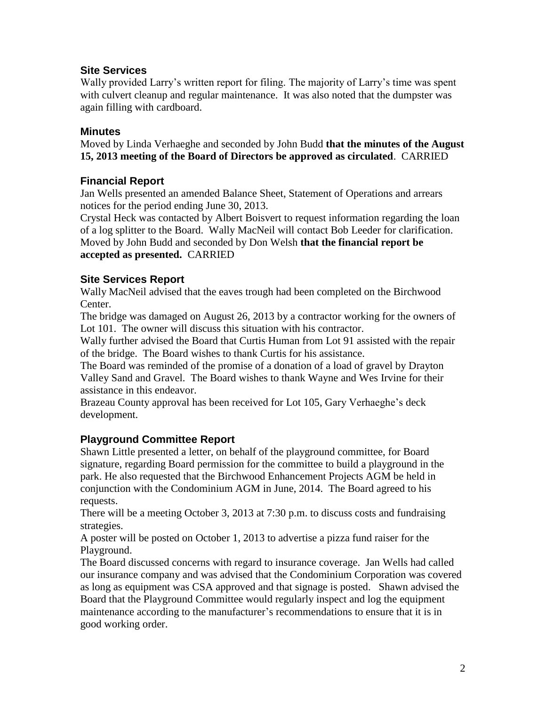# **Site Services**

Wally provided Larry's written report for filing. The majority of Larry's time was spent with culvert cleanup and regular maintenance. It was also noted that the dumpster was again filling with cardboard.

#### **Minutes**

Moved by Linda Verhaeghe and seconded by John Budd **that the minutes of the August 15, 2013 meeting of the Board of Directors be approved as circulated**. CARRIED

# **Financial Report**

Jan Wells presented an amended Balance Sheet, Statement of Operations and arrears notices for the period ending June 30, 2013.

Crystal Heck was contacted by Albert Boisvert to request information regarding the loan of a log splitter to the Board. Wally MacNeil will contact Bob Leeder for clarification. Moved by John Budd and seconded by Don Welsh **that the financial report be accepted as presented.** CARRIED

# **Site Services Report**

Wally MacNeil advised that the eaves trough had been completed on the Birchwood Center.

The bridge was damaged on August 26, 2013 by a contractor working for the owners of Lot 101. The owner will discuss this situation with his contractor.

Wally further advised the Board that Curtis Human from Lot 91 assisted with the repair of the bridge. The Board wishes to thank Curtis for his assistance.

The Board was reminded of the promise of a donation of a load of gravel by Drayton Valley Sand and Gravel. The Board wishes to thank Wayne and Wes Irvine for their assistance in this endeavor.

Brazeau County approval has been received for Lot 105, Gary Verhaeghe's deck development.

# **Playground Committee Report**

Shawn Little presented a letter, on behalf of the playground committee, for Board signature, regarding Board permission for the committee to build a playground in the park. He also requested that the Birchwood Enhancement Projects AGM be held in conjunction with the Condominium AGM in June, 2014. The Board agreed to his requests.

There will be a meeting October 3, 2013 at 7:30 p.m. to discuss costs and fundraising strategies.

A poster will be posted on October 1, 2013 to advertise a pizza fund raiser for the Playground.

The Board discussed concerns with regard to insurance coverage. Jan Wells had called our insurance company and was advised that the Condominium Corporation was covered as long as equipment was CSA approved and that signage is posted. Shawn advised the Board that the Playground Committee would regularly inspect and log the equipment maintenance according to the manufacturer's recommendations to ensure that it is in good working order.